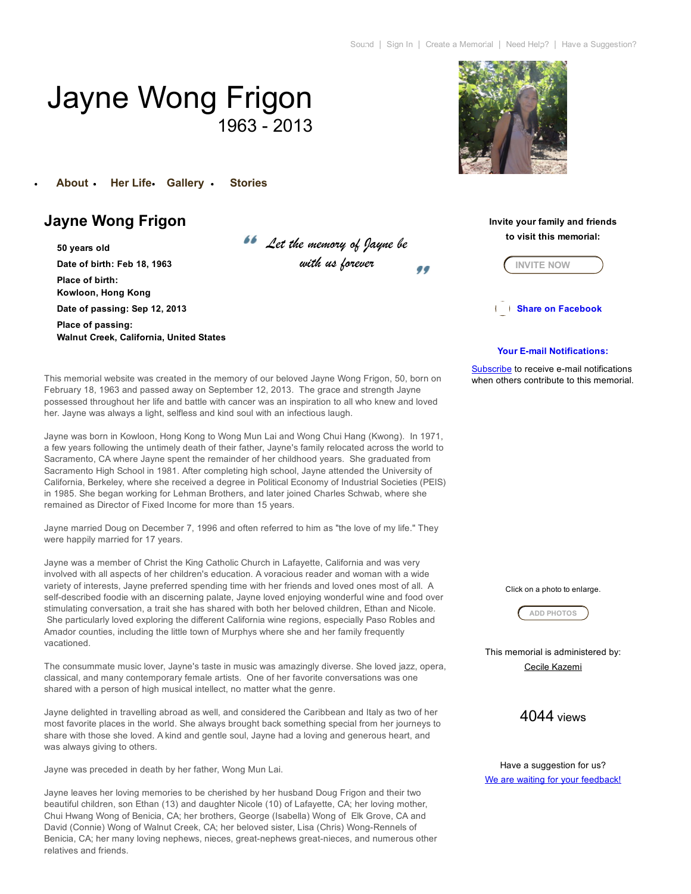# Jayne Wong Frigon 1963 - 2013

[About](http://www.forevermissed.com/jayne-wong-frigon/) Her [Life](http://www.forevermissed.com/jayne-wong-frigon/lifestory) [Gallery](http://www.forevermissed.com/jayne-wong-frigon/gallery/photos) [Stories](http://www.forevermissed.com/jayne-wong-frigon/stories)

# Jayne Wong Frigon

50 years old Date of birth: Feb 18, 1963 Place of birth: Kowloon, Hong Kong Date of passing: Sep 12, 2013 Place of passing: Walnut Creek, California, United States *Let the memory of Jayne be with us forever*





**Share on Facebook** 

## Your E-mail Notifications:

Subscribe to receive e-mail notifications when others contribute to this memorial

This memorial website was created in the memory of our beloved Jayne Wong Frigon, 50, born on February 18, 1963 and passed away on September 12, 2013. The grace and strength Jayne possessed throughout her life and battle with cancer was an inspiration to all who knew and loved her. Jayne was always a light, selfless and kind soul with an infectious laugh.

Jayne was born in Kowloon, Hong Kong to Wong Mun Lai and Wong Chui Hang (Kwong). In 1971, a few years following the untimely death of their father, Jayne's family relocated across the world to Sacramento, CA where Jayne spent the remainder of her childhood years. She graduated from Sacramento High School in 1981. After completing high school, Jayne attended the University of California, Berkeley, where she received a degree in Political Economy of Industrial Societies (PEIS) in 1985. She began working for Lehman Brothers, and later joined Charles Schwab, where she remained as Director of Fixed Income for more than 15 years.

Jayne married Doug on December 7, 1996 and often referred to him as "the love of my life." They were happily married for 17 years.

Jayne was a member of Christ the King Catholic Church in Lafayette, California and was very involved with all aspects of her children's education. A voracious reader and woman with a wide variety of interests, Jayne preferred spending time with her friends and loved ones most of all. A self-described foodie with an discerning palate, Jayne loved enjoying wonderful wine and food over stimulating conversation, a trait she has shared with both her beloved children, Ethan and Nicole. She particularly loved exploring the different California wine regions, especially Paso Robles and Amador counties, including the little town of Murphys where she and her family frequently vacationed.

The consummate music lover, Jayne's taste in music was amazingly diverse. She loved jazz, opera, classical, and many contemporary female artists. One of her favorite conversations was one shared with a person of high musical intellect, no matter what the genre.

Jayne delighted in travelling abroad as well, and considered the Caribbean and Italy as two of her most favorite places in the world. She always brought back something special from her journeys to share with those she loved. A kind and gentle soul, Jayne had a loving and generous heart, and was always giving to others.

Jayne was preceded in death by her father, Wong Mun Lai.

Jayne leaves her loving memories to be cherished by her husband Doug Frigon and their two beautiful children, son Ethan (13) and daughter Nicole (10) of Lafayette, CA; her loving mother, Chui Hwang Wong of Benicia, CA; her brothers, George (Isabella) Wong of Elk Grove, CA and David (Connie) Wong of Walnut Creek, CA; her beloved sister, Lisa (Chris) Wong-Rennels of Benicia, CA; her many loving nephews, nieces, great-nephews great-nieces, and numerous other relatives and friends.

Click on a photo to enlarge.



This memorial is administered by: Cecile Kazemi

# 4044 views

Have a suggestion for us? We are waiting for your feedback!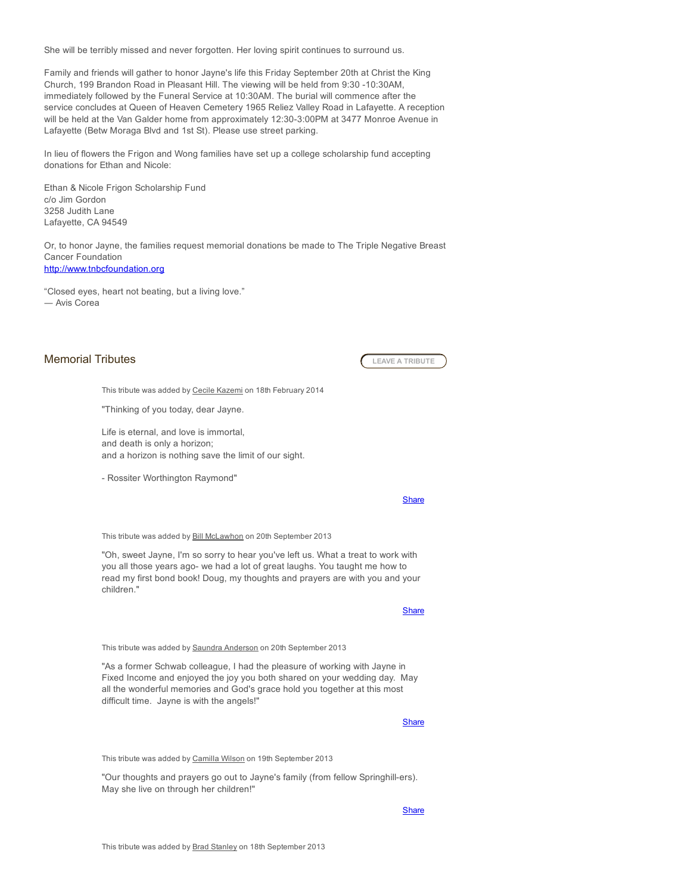She will be terribly missed and never forgotten. Her loving spirit continues to surround us.

Family and friends will gather to honor Jayne's life this Friday September 20th at Christ the King Church, 199 Brandon Road in Pleasant Hill. The viewing will be held from 9:30 -10:30AM, immediately followed by the Funeral Service at 10:30AM. The burial will commence after the service concludes at Queen of Heaven Cemetery 1965 Reliez Valley Road in Lafayette. A reception will be held at the Van Galder home from approximately 12:30-3:00PM at 3477 Monroe Avenue in Lafayette (Betw Moraga Blvd and 1st St). Please use street parking.

In lieu of flowers the Frigon and Wong families have set up a college scholarship fund accepting donations for Ethan and Nicole:

Ethan & Nicole Frigon Scholarship Fund c/o Jim Gordon 3258 Judith Lane Lafayette, CA 94549

Or, to honor Jayne, the families request memorial donations be made to The Triple Negative Breast Cancer Foundation [http://www.tnbcfoundation.org](http://www.tnbcfoundation.org/)

"Closed eyes, heart not beating, but a living love." ― Avis Corea

## Memorial Tributes **A TRIBUTE CEAVE A TRIBUTE**

This tribute was added by Cecile Kazemi on 18th February 2014

"Thinking of you today, dear Jayne.

Life is eternal, and love is immortal, and death is only a horizon; and a horizon is nothing save the limit of our sight.

Rossiter Worthington Raymond"

#### **[Share](javascript:void(0))**

This tribute was added by Bill McLawhon on 20th September 2013

"Oh, sweet Jayne, I'm so sorry to hear you've left us. What a treat to work with you all those years ago- we had a lot of great laughs. You taught me how to read my first bond book! Doug, my thoughts and prayers are with you and your children."

**[Share](javascript:void(0))** 

This tribute was added by **Saundra Anderson** on 20th September 2013

"As a former Schwab colleague, I had the pleasure of working with Jayne in Fixed Income and enjoyed the joy you both shared on your wedding day. May all the wonderful memories and God's grace hold you together at this most difficult time. Jayne is with the angels!"

**[Share](javascript:void(0))** 

This tribute was added by Camilla Wilson on 19th September 2013

"Our thoughts and prayers go out to Jayne's family (from fellow Springhill-ers). May she live on through her children!"

**[Share](javascript:void(0))**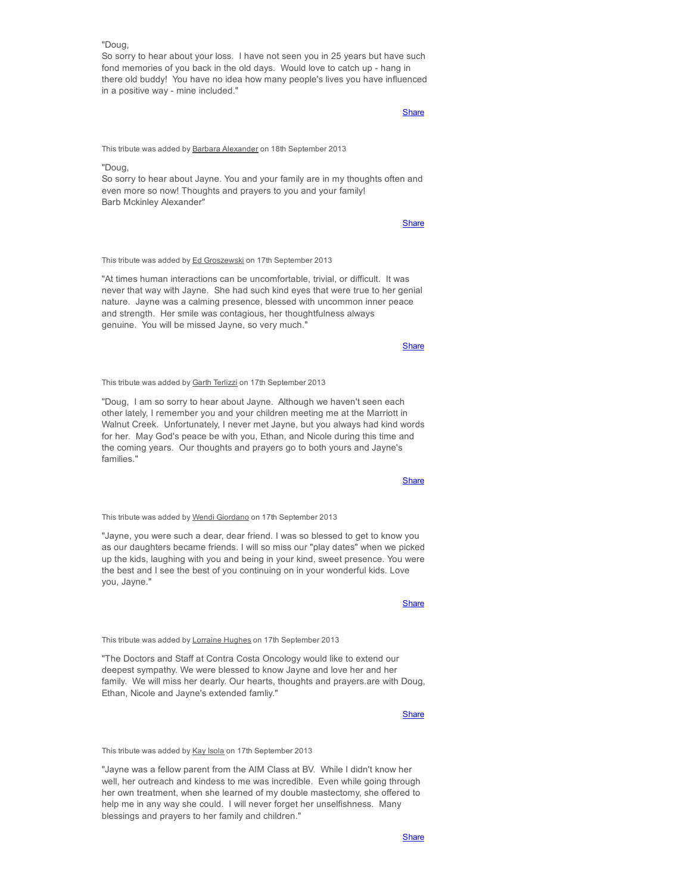## "Doug,

So sorry to hear about your loss. I have not seen you in 25 years but have such fond memories of you back in the old days. Would love to catch up - hang in there old buddy! You have no idea how many people's lives you have influenced in a positive way - mine included."

## **[Share](javascript:void(0))**

This tribute was added by Barbara Alexander on 18th September 2013

## "Doug,

So sorry to hear about Jayne. You and your family are in my thoughts often and even more so now! Thoughts and prayers to you and your family! Barb Mckinley Alexander"

**[Share](javascript:void(0))** 

This tribute was added by Ed Groszewski on 17th September 2013

"At times human interactions can be uncomfortable, trivial, or difficult. It was never that way with Jayne. She had such kind eyes that were true to her genial nature. Jayne was a calming presence, blessed with uncommon inner peace and strength. Her smile was contagious, her thoughtfulness always genuine. You will be missed Jayne, so very much."

**[Share](javascript:void(0))** 

### This tribute was added by Garth Terlizzi on 17th September 2013

"Doug, I am so sorry to hear about Jayne. Although we haven't seen each other lately, I remember you and your children meeting me at the Marriott in Walnut Creek. Unfortunately, I never met Jayne, but you always had kind words for her. May God's peace be with you, Ethan, and Nicole during this time and the coming years. Our thoughts and prayers go to both yours and Jayne's families."

**[Share](javascript:void(0))** 

This tribute was added by Wendi Giordano on 17th September 2013

"Jayne, you were such a dear, dear friend. I was so blessed to get to know you as our daughters became friends. I will so miss our "play dates" when we picked up the kids, laughing with you and being in your kind, sweet presence. You were the best and I see the best of you continuing on in your wonderful kids. Love you, Jayne."

## **[Share](javascript:void(0))**

#### This tribute was added by Lorraine Hughes on 17th September 2013

"The Doctors and Staff at Contra Costa Oncology would like to extend our deepest sympathy. We were blessed to know Jayne and love her and her family. We will miss her dearly. Our hearts, thoughts and prayers.are with Doug, Ethan, Nicole and Jayne's extended famliy."

## **[Share](javascript:void(0))**

This tribute was added by Kay Isola on 17th September 2013

"Jayne was a fellow parent from the AIM Class at BV. While I didn't know her well, her outreach and kindess to me was incredible. Even while going through her own treatment, when she learned of my double mastectomy, she offered to help me in any way she could. I will never forget her unselfishness. Many blessings and prayers to her family and children."